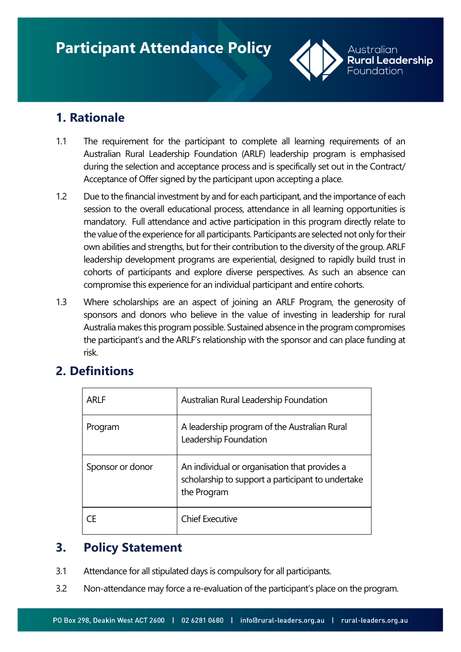

# **1. Rationale**

- 1.1 The requirement for the participant to complete all learning requirements of an Australian Rural Leadership Foundation (ARLF) leadership program is emphasised during the selection and acceptance process and is specifically set out in the Contract/ Acceptance of Offer signed by the participant upon accepting a place.
- 1.2 Due to the financial investment by and for each participant, and the importance of each session to the overall educational process, attendance in all learning opportunities is mandatory. Full attendance and active participation in this program directly relate to the value of the experience for all participants. Participants are selected not only for their own abilities and strengths, but for their contribution to the diversity of the group. ARLF leadership development programs are experiential, designed to rapidly build trust in cohorts of participants and explore diverse perspectives. As such an absence can compromise this experience for an individual participant and entire cohorts.
- 1.3 Where scholarships are an aspect of joining an ARLF Program, the generosity of sponsors and donors who believe in the value of investing in leadership for rural Australia makes this program possible. Sustained absence in the program compromises the participant's and the ARLF's relationship with the sponsor and can place funding at risk.

# **2. Definitions**

| ARI F            | Australian Rural Leadership Foundation                                                                            |
|------------------|-------------------------------------------------------------------------------------------------------------------|
| Program          | A leadership program of the Australian Rural<br>Leadership Foundation                                             |
| Sponsor or donor | An individual or organisation that provides a<br>scholarship to support a participant to undertake<br>the Program |
| CF.              | <b>Chief Executive</b>                                                                                            |

## **3. Policy Statement**

- 3.1 Attendance for all stipulated days is compulsory for all participants.
- 3.2 Non-attendance may force a re-evaluation of the participant's place on the program.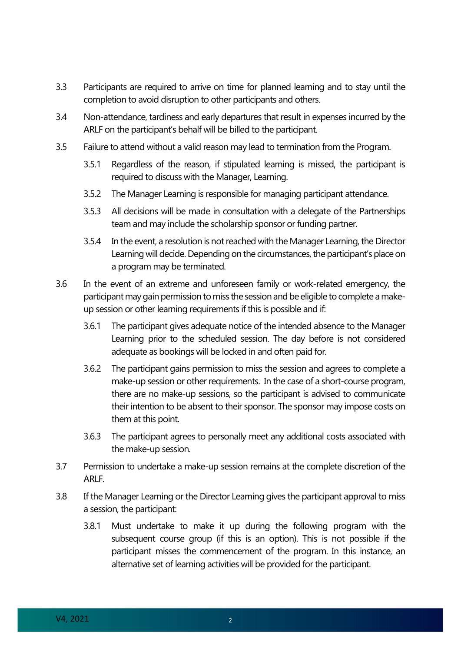- 3.3 Participants are required to arrive on time for planned learning and to stay until the completion to avoid disruption to other participants and others.
- 3.4 Non-attendance, tardiness and early departures that result in expenses incurred by the ARLF on the participant's behalf will be billed to the participant.
- 3.5 Failure to attend without a valid reason may lead to termination from the Program.
	- 3.5.1 Regardless of the reason, if stipulated learning is missed, the participant is required to discuss with the Manager, Learning.
	- 3.5.2 The Manager Learning is responsible for managing participant attendance.
	- 3.5.3 All decisions will be made in consultation with a delegate of the Partnerships team and may include the scholarship sponsor or funding partner.
	- 3.5.4 In the event, a resolution is not reached with the Manager Learning, the Director Learning will decide. Depending on the circumstances, the participant's place on a program may be terminated.
- 3.6 In the event of an extreme and unforeseen family or work-related emergency, the participant may gain permission to miss the session and be eligible to complete a makeup session or other learning requirements if this is possible and if:
	- 3.6.1 The participant gives adequate notice of the intended absence to the Manager Learning prior to the scheduled session. The day before is not considered adequate as bookings will be locked in and often paid for.
	- 3.6.2 The participant gains permission to miss the session and agrees to complete a make-up session or other requirements. In the case of a short-course program, there are no make-up sessions, so the participant is advised to communicate their intention to be absent to their sponsor. The sponsor may impose costs on them at this point.
	- 3.6.3 The participant agrees to personally meet any additional costs associated with the make-up session.
- 3.7 Permission to undertake a make-up session remains at the complete discretion of the ARLF.
- 3.8 If the Manager Learning or the Director Learning gives the participant approval to miss a session, the participant:
	- 3.8.1 Must undertake to make it up during the following program with the subsequent course group (if this is an option). This is not possible if the participant misses the commencement of the program. In this instance, an alternative set of learning activities will be provided for the participant.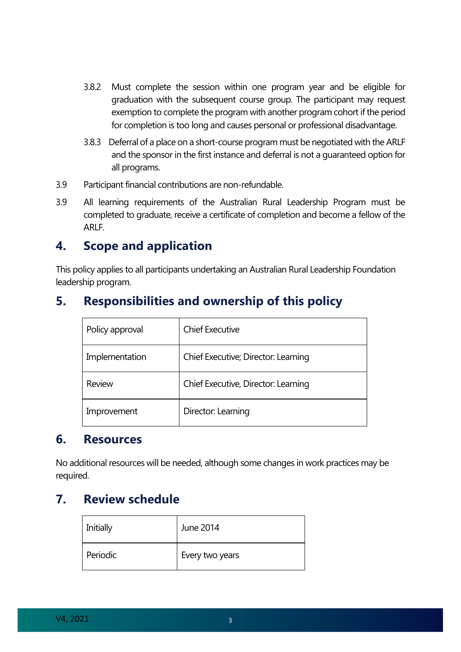- 3.8.2 Must complete the session within one program year and be eligible for graduation with the subsequent course group. The participant may request exemption to complete the program with another program cohort if the period for completion is too long and causes personal or professional disadvantage.
- 3.8.3 Deferral of a place on a short-course program must be negotiated with the ARLF and the sponsor in the first instance and deferral is not a guaranteed option for all programs.
- 3.9 Participant financial contributions are non-refundable.
- 3.9 All learning requirements of the Australian Rural Leadership Program must be completed to graduate, receive a certificate of completion and become a fellow of the ARLF.

## **4. Scope and application**

This policy applies to all participants undertaking an Australian Rural Leadership Foundation leadership program.

# **5. Responsibilities and ownership of this policy**

| Policy approval | <b>Chief Executive</b>              |
|-----------------|-------------------------------------|
| Implementation  | Chief Executive; Director: Learning |
| <b>Review</b>   | Chief Executive, Director: Learning |
| Improvement     | Director: Learning                  |

#### **6. Resources**

No additional resources will be needed, although some changes in work practices may be required.

## **7. Review schedule**

| Initially | June 2014       |
|-----------|-----------------|
| Periodic  | Every two years |